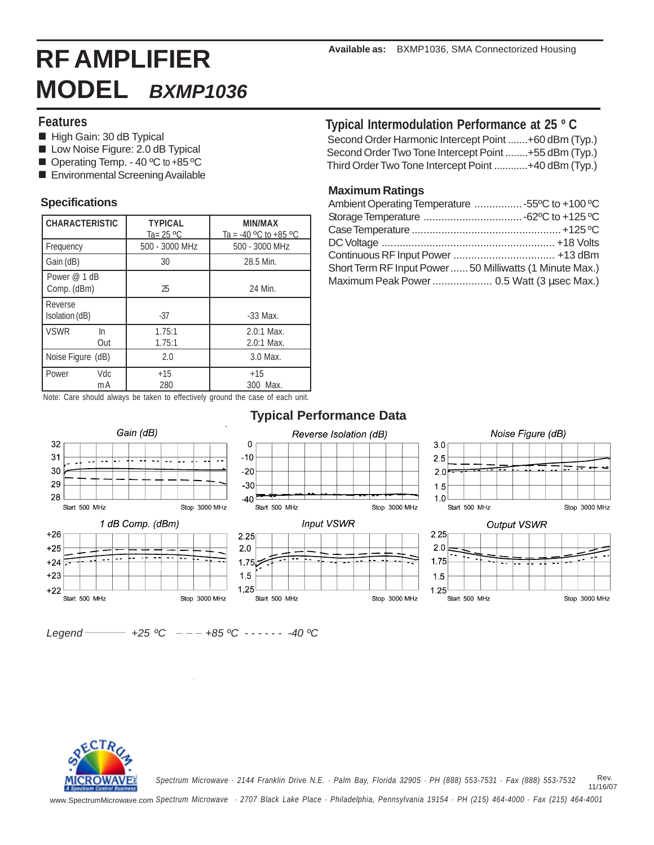## **Features**

- High Gain: 30 dB Typical
- **Low Noise Figure: 2.0 dB Typical**
- Operating Temp. 40 °C to +85 °C
- **Environmental Screening Available**

## **Specifications**

| <b>CHARACTERISTIC</b>       |           | <b>TYPICAL</b><br>Ta= 25 °C | <b>MIN/MAX</b><br>Ta = $-40$ °C to $+85$ °C |
|-----------------------------|-----------|-----------------------------|---------------------------------------------|
| Frequency                   |           | 500 - 3000 MHz              | 500 - 3000 MHz                              |
| Gain (dB)                   |           | 30                          | 28.5 Min.                                   |
| Power @ 1 dB<br>Comp. (dBm) |           | 25                          | 24 Min.                                     |
| Reverse<br>Isolation (dB)   |           | $-37$                       | $-33$ Max.                                  |
| <b>VSWR</b><br>In           | Out       | 1.75:1<br>1.75:1            | $2.0:1$ Max.<br>$2.0:1$ Max.                |
| Noise Figure (dB)           |           | 2.0                         | 3.0 Max.                                    |
| Power                       | Vdc<br>mA | $+15$<br>280                | $+15$<br>300 Max.                           |

# **Typical Intermodulation Performance at 25 º C**

Second Order Harmonic Intercept Point .......+60 dBm (Typ.) Second Order Two Tone Intercept Point ........+55 dBm (Typ.) Third Order Two Tone Intercept Point ............+40 dBm (Typ.)

## **Maximum Ratings**

| Ambient Operating Temperature 55°C to +100 °C            |  |
|----------------------------------------------------------|--|
|                                                          |  |
|                                                          |  |
|                                                          |  |
|                                                          |  |
| Short Term RF Input Power  50 Milliwatts (1 Minute Max.) |  |
| Maximum Peak Power  0.5 Watt (3 μsec Max.)               |  |
|                                                          |  |

Note: Care should always be taken to effectively ground the case of each unit.

#### **Typical Performance Data** Gain (dB) Reverse Isolation (dB) Noise Figure (dB) 32  $\pmb{0}$  $3.0$  $31$  $-10$  $2<sub>5</sub>$ 30  $20$  $2.0$ 29  $-30$  $1.5$ 28  $40<sup>1</sup>$  $10$ Start 500 MHz Stop 3000 MHz Start 500 MHz Stop 3000 MHz Start 500 MHz Stop 3000 MHz **Input VSWR** Output VSWR 1 dB Comp. (dBm)  $+26$  $2.25$ 2.25  $20$  $+25$  $2.0$  $1.75$  $+24$  $1.75$  $+23$  $15$  $15$ 1.25  $+22$  $1.25$ Start 500 MHz Stop 3000 MHz Start 500 MHz Stop 3000 MHz Start 500 MHz Stop 3000 MHz

Legend  $-$  +25 °C - - - +85 °C - - - - - - 40 °C



 Rev. 11/16/07 *Spectrum Microwave · 2144 Franklin Drive N.E. · Palm Bay, Florida 32905 · PH (888) 553-7531 · Fax (888) 553-7532*

www.SpectrumMicrowave.com *Spectrum Microwave · 2707 Black Lake Place · Philadelphia, Pennsylvania 19154 · PH (215) 464-4000 · Fax (215) 464-4001*